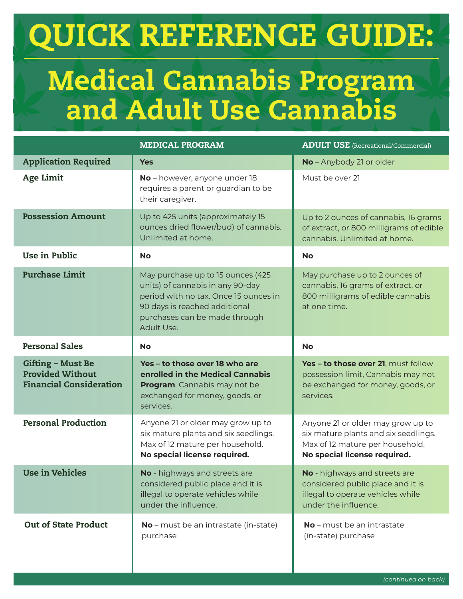## QUICK REFERENCE GUIDE:

## Medical Cannabis Program and Adult Use Cannabis

|                                                                                       | <b>MEDICAL PROGRAM</b>                                                                                                                                                                         | <b>ADULT USE</b> (Recreational/Commercial)                                                                                                   |
|---------------------------------------------------------------------------------------|------------------------------------------------------------------------------------------------------------------------------------------------------------------------------------------------|----------------------------------------------------------------------------------------------------------------------------------------------|
| <b>Application Required</b>                                                           | <b>Yes</b>                                                                                                                                                                                     | No - Anybody 21 or older                                                                                                                     |
| <b>Age Limit</b>                                                                      | No - however, anyone under 18<br>requires a parent or guardian to be<br>their caregiver.                                                                                                       | Must be over 21                                                                                                                              |
| <b>Possession Amount</b>                                                              | Up to 425 units (approximately 15<br>ounces dried flower/bud) of cannabis.<br>Unlimited at home.                                                                                               | Up to 2 ounces of cannabis, 16 grams<br>of extract, or 800 milligrams of edible<br>cannabis. Unlimited at home.                              |
| Use in Public                                                                         | <b>No</b>                                                                                                                                                                                      | <b>No</b>                                                                                                                                    |
| <b>Purchase Limit</b>                                                                 | May purchase up to 15 ounces (425<br>units) of cannabis in any 90-day<br>period with no tax. Once 15 ounces in<br>90 days is reached additional<br>purchases can be made through<br>Adult Use. | May purchase up to 2 ounces of<br>cannabis, 16 grams of extract, or<br>800 milligrams of edible cannabis<br>at one time.                     |
| <b>Personal Sales</b>                                                                 | <b>No</b>                                                                                                                                                                                      | <b>No</b>                                                                                                                                    |
| <b>Gifting - Must Be</b><br><b>Provided Without</b><br><b>Financial Consideration</b> | Yes - to those over 18 who are<br>enrolled in the Medical Cannabis<br>Program. Cannabis may not be<br>exchanged for money, goods, or<br>services.                                              | Yes - to those over 21, must follow<br>possession limit, Cannabis may not<br>be exchanged for money, goods, or<br>services.                  |
| <b>Personal Production</b>                                                            | Anyone 21 or older may grow up to<br>six mature plants and six seedlings.<br>Max of 12 mature per household.<br>No special license required.                                                   | Anyone 21 or older may grow up to<br>six mature plants and six seedlings.<br>Max of 12 mature per household.<br>No special license required. |
| <b>Use in Vehicles</b>                                                                | No - highways and streets are<br>considered public place and it is<br>illegal to operate vehicles while<br>under the influence.                                                                | No - highways and streets are<br>considered public place and it is<br>illegal to operate vehicles while<br>under the influence.              |
| <b>Out of State Product</b>                                                           | No - must be an intrastate (in-state)<br>purchase                                                                                                                                              | No - must be an intrastate<br>(in-state) purchase                                                                                            |